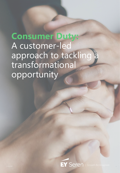# **Consumer Duty:** A customer-led approach to tackling a transformational opportunity

EY SCICI | Growth Re-Imagined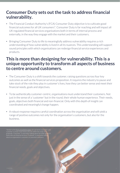## **Consumer Duty sets out the task to address financial vulnerability.**

- The Financial Conduct Authority's (FCA) Consumer Duty objective is to cultivate good financial outcomes for all UK consumers\*. Consumer Duty is far reaching and will impact all UK regulated financial services organisations both in terms of internal process and externally, in the way they engage with the market and their customers.
- Bringing Consumer Duty to life to meaningfully address vulnerability requires a rich understanding of how vulnerability is lived in all its nuances. This understanding will support sound principles with which organisations can redesign financial service experiences and products.

## **This is more than designing for vulnerability. This is a unique opportunity to transform all aspects of business to centre around customers.**

- The Consumer Duty is a shift towards the *customer*, raising questions across four key outcomes as well as the financial services proposition. It requires the industry to pause and take stock of the role they play in customer's lives, how they can better sense and meet their financial needs, goals and objectives.
- To be authentically customer-centric, organisations must understand their customers. Not just in the sense of a 'customer' but in the round, their whole human experience. Their needs, goals, objectives both financial and non-financial. Only with this depth of insight can coordinated and meaningful change happen.
- A robust response requires careful coordination across the organisation and will yield a range of positive outcomes not only for the organisation's customers, but also for the business.

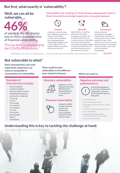## **But first, what exactly is 'vulnerability'?**

### **Well, we can all be vulnerable.**

# **46%**

of adults in the UK display one or more characteristics of financial vulnerability.

#### This has been exacerbated by the COVID-19 pandemic.\*

**Vulnerability is far reaching. It is fluid, dynamic and generally comes in three forms which we all might experience, at any given moment:**



**Chronic**

A consumer may have a longterm condition or experience a change in their life that increases their vulnerability (e.g., on-going physical or mental health conditions such as loss of sight, memory or cognitive abilities, personality traits such as low trust)



**Sporadic**

Vulnerabilities or situations which may come and go throughout a consumer's life. Un-expected life events can increase someone's vulnerability. potential for harm. These (e.g., periods of intermittent to temporary impairments, job loss, family situations such as bereavements or divorce)



**Contextual**

stress, physical accidents leading based, situational, or mental (e.g., Certain contexts or environments may trigger characteristics, behaviours or create situations for increased contexts can be cultural, location living in a foreign country, highstress or distracted environments)

*"Vulnerability can come in a range of guises… it is a fluid state that needs a flexible, tailored response from firms."* **- The FCA\*\***

## **But vulnerable to what?**

**Many characteristics and, most importantly, behaviours can make us susceptible to circumstances of vulnerability.** 

#### **Examples of characteristics include:**

- Physical disability
- Cognitive disability
- Severe or long term illness
- Mental health conditions
- Low income, or high debt
- Too young
- Too old
- Too trusting
- Too sceptical
- Too impulsive
- Too risky
- In education
- Self employed
- **Retired**
- **Unemployed**

**These could increase vulnerability in two different ways related to finances:** 

#### **Monetary vulnerability**

Someone's risk of

#### **Financial vulnerability**

Someone's ability to make decisions in their best interest and access products and services that work for them.

#### **Which can result in:**

#### **Negative outcomes and potential harm**

In its finalised guidance for the Fair Treatment to Vulnerable Customers, the FCA defines harm as things like:

- Financial exclusion
- Difficulty assessing services
- Disengagement with the market / partial exclusion
- Inability to manage a product or service
- Over-indebtedness
- Buying inappropriate products or services and exposure to mis-selling
- Scams and financial abuse

## **Understanding this is key to tackling the challenge at hand.**

\*https://www.fca.org.uk/publications/research/financial-lives-2020-survey-impact-coronavirus https://www.fca.org.uk/publication/occasional-papers/occasional-paper-8-exec-sur



#### falling into financial difficulty due to financial shock, or an unexpected event.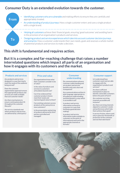## **Consumer Duty is an extended evolution towards the** *customer.*



## **But it is a complex and far-reaching challenge that raises a number**

**interrelated questions which impact all parts of an organisation and how it engages with its customers and the market.**

#### **Products and services**

Are products and services designed in a way that clearly meet the needs of the audience being served?

#### Does the customer

segmentation approach ensure that appropriate products and services are made available that suit customer needs?

Are there mechanisms to ensure continued product fit throughout the customer lifecycle?

Are service standards met where products and services are delivered by a third party?

#### **Price and value**

Do organisations know what their customers consider to be of value?

Is the value of products and services to customers articulated, beyond cost?

Can it be evidenced that customer product choices meet their needs and represent good value to them?

Can existing customers access products at the same price as new customers?

Is the presentation and pricing of products delivered by third parties controlled and managed?

#### **Consumer understanding**

Do communications enhance customer understanding and are product and service benefits and costs clear and transparent?

Are communications written in plain language, appropriate to all audiences understanding and distributed in a way which is accessible to all?

Is product and service information surfaced to customers in a way that facilitates good decision making?

Is product and service information made available to customers at the point of informational need and in the appropriate channels or formats?

#### **Consumer support**

Is it understood how customers want and are able to engage with the organisation's products and services?

Are there sufficient mechanisms in place to identify vulnerable customers before the point of harm?

Are customer servicing channels accessible and inclusive?

Are there servicing channels aligned to customer's needs and preferences which help them achieve their goals?

Is service friction, where used, only in place for the benefit or protection of the customer and not their detriment?

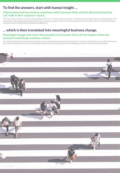## **To find the answers, start with human insight …**

#### **Organisations will not achieve compliance with Consumer Duty without demonstrating they can 'walk in their customer's shoes'.**

This means they must have a robust understanding of their current and prospective customers. This goes beyond segmentation and demographics. They must capture this understanding and build offerings around how customers experience their products and services along with the multitude of options customers have in fulfilling their needs goals and objectives.

## **… which is then translated into meaningful business change.**

#### **Meaningful change that meets the principles of Consumer Duty will not happen unless the business is holistically customer-centric.**

This means change is driven top-down by customer need, and cascades to all aspects of the business. It requires coordination across product and service lines, channels and business units. This will disrupt traditional ways of working and require challenging customer oriented business decisions.

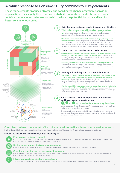## **A robust response to Consumer Duty combines four key elements.**

**These four elements produce a strategic and coordinated change programme across an organisation. They supply the requirements to build preventative and cohesive customercentric experiences and interventions which reduce the potential for harm and lead to better consumer outcomes.**



#### **Orient around customer needs, life goals and objectives**

**Unlock qualitative human insight to identify what role an organisation's financial products and service propositions should and do play in a customer's life.** This means gaining an understanding of each customer's true need so organisations can help them achieve it and realise good outcomes.

**Structured, well orchestrated research and human insight gathering, to see beneath the surface.** Needs and goals can be unsaid or unknown by customers. Mindsets are internal, fluid, complex and nuanced. They influence a customer's mood, decision making capabilities, behaviours and actions. Needs, goals and mindsets are usually inaccessible through traditional process and data analysis.

#### **Understand customer behaviour in the market**

**Gain an understanding of how customers behave and make decisions, choosing among the product and service options available to them.** This demands careful review of current product and service experiences to understand how customers navigate through them and make decisions.

**Customer journeys track the steps, decision-making journeys map the why.** Customer journeys orient around the process, more than around a consumer's internal experiences and how they make the decisions that drive their behaviour and action (or inaction) relating to their finances.

#### **Identify vulnerability and the potential for harm**

**Build a deep organisational understanding of vulnerability and how and where it can increase the potential for customer harm in the product and service ecosystem.** Vulnerability is nuanced, fluid and complex which means a service response should be flexible and robust across nearly every aspect of customer touchpoints and an internal business operating model.

**Map the potential for harm against customer touchpoints, forming the basis for future requirements and prioritisation activities.** This can only happen if organisations understand customer's needs, goals and objectives and how they go about achieving them in their daily lives.

#### **Build cohesive customer experiences, interventions and business operations to support**

**2** and <sup>3</sup> serve to identify and prioritise journeys and experiences **which require change.** They unlock the requirements for a coordinated change programme across an organisation that can be kicked off fresh and embedded into current and future organisational priorities.

This change will focus on designing, building and enhancing cohesive customer experiences and interventions that reduce the potential for harm, oriented around consumer needs and outcomes.

#### **Change is needed across many aspects of the customer experience and those business operations that support it.**

It will require multidisciplinary teams across the business to activate and realise meaningful change which focuses on better outcomes for customers.

#### **Unlock the capacity to deliver change with capability in:**



#### **Ethnographic customer research**

A form of qualitative research that observes human behaviour in real environments. They must be robust, rapid and continuous in order to embed a deep understanding of customers and human insights into agile programmes.



#### **Customer journey and decision-making mapping**

A deep understanding of human behaviour and how that translates into journeys and decisions in and outside of an organisation.

#### **Complex proposition and service capability mapping**

Deep strategic customer proposition development and service ecosystem mapping, which allows an organisation to understand how the moving parts of its business impact and enable a cohesive customer experience.

#### **Intervention and coordinated change design**

The design of cohesive interventions and design centres of excellence which allow organisations to work through strategic business change, effectively.